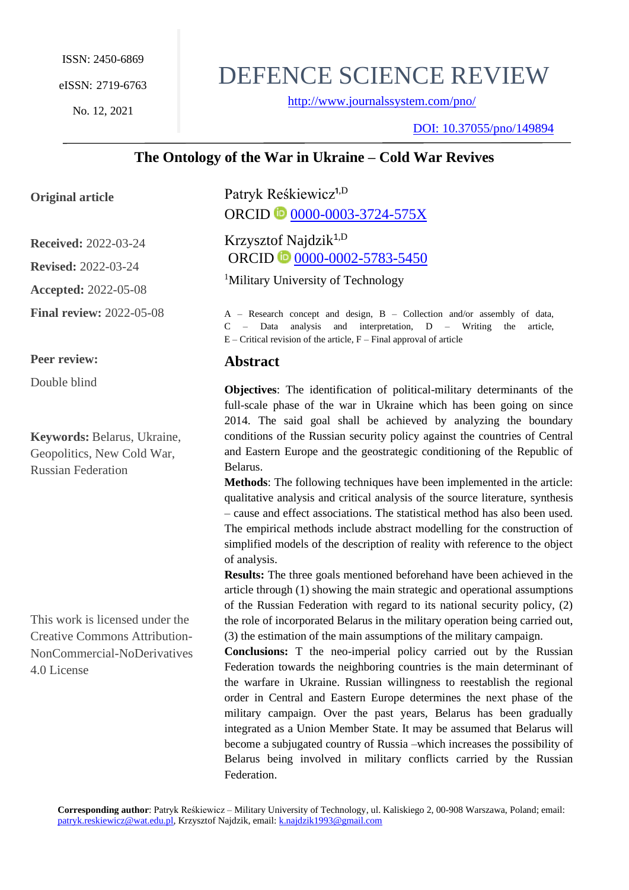No. 12, 2021

# DEFENCE SCIENCE REVIEW

<http://www.journalssystem.com/pno/>

DOI: [10.37055/pno/149894](https://doi.org/10.37055/pno/136372) 

# **The Ontology of the War in Ukraine – Cold War Revives**

### **Original article**

**Received:** 2022-03-24 **Revised:** 2022-03-24 **Accepted:** 2022-05-08 **Final review:** 2022-05-08

**Peer review:**

Double blind

**Keywords:** Belarus, Ukraine, Geopolitics, New Cold War, Russian Federation

This work is licensed under the Creative Commons Attribution-NonCommercial-NoDerivatives 4.0 License

Patryk Reśkiewicz<sup>1,D</sup> ORCID **D** [0000-0003-3724-575X](https://orcid.org/0000-0001-8974-592X)

Krzysztof Najdzik<sup>1,D</sup> ORCID **D** [0000-0002-5783-5450](https://orcid.org/0000-0001-8974-592X)

<sup>1</sup>Military University of Technology

A – Research concept and design, B – Collection and/or assembly of data, C – Data analysis and interpretation, D – Writing the article,  $E -$ Critical revision of the article,  $F -$ Final approval of article

# **Abstract**

**Objectives**: The identification of political-military determinants of the full-scale phase of the war in Ukraine which has been going on since 2014. The said goal shall be achieved by analyzing the boundary conditions of the Russian security policy against the countries of Central and Eastern Europe and the geostrategic conditioning of the Republic of Belarus.

**Methods**: The following techniques have been implemented in the article: qualitative analysis and critical analysis of the source literature, synthesis – cause and effect associations. The statistical method has also been used. The empirical methods include abstract modelling for the construction of simplified models of the description of reality with reference to the object of analysis.

**Results:** The three goals mentioned beforehand have been achieved in the article through (1) showing the main strategic and operational assumptions of the Russian Federation with regard to its national security policy, (2) the role of incorporated Belarus in the military operation being carried out, (3) the estimation of the main assumptions of the military campaign.

**Conclusions:** T the neo-imperial policy carried out by the Russian Federation towards the neighboring countries is the main determinant of the warfare in Ukraine. Russian willingness to reestablish the regional order in Central and Eastern Europe determines the next phase of the military campaign. Over the past years, Belarus has been gradually integrated as a Union Member State. It may be assumed that Belarus will become a subjugated country of Russia –which increases the possibility of Belarus being involved in military conflicts carried by the Russian Federation.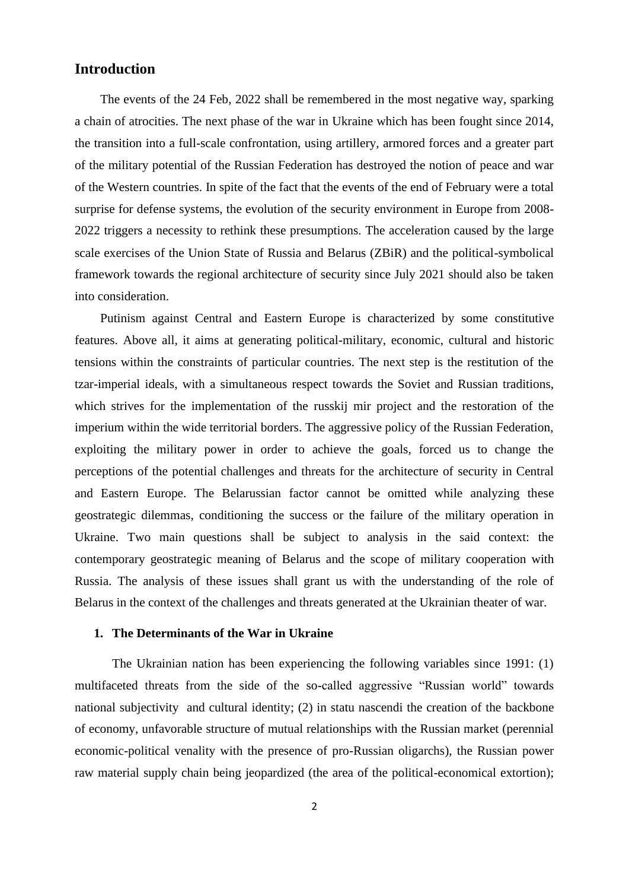### **Introduction**

The events of the 24 Feb, 2022 shall be remembered in the most negative way, sparking a chain of atrocities. The next phase of the war in Ukraine which has been fought since 2014, the transition into a full-scale confrontation, using artillery, armored forces and a greater part of the military potential of the Russian Federation has destroyed the notion of peace and war of the Western countries. In spite of the fact that the events of the end of February were a total surprise for defense systems, the evolution of the security environment in Europe from 2008- 2022 triggers a necessity to rethink these presumptions. The acceleration caused by the large scale exercises of the Union State of Russia and Belarus (ZBiR) and the political-symbolical framework towards the regional architecture of security since July 2021 should also be taken into consideration.

Putinism against Central and Eastern Europe is characterized by some constitutive features. Above all, it aims at generating political-military, economic, cultural and historic tensions within the constraints of particular countries. The next step is the restitution of the tzar-imperial ideals, with a simultaneous respect towards the Soviet and Russian traditions, which strives for the implementation of the russkij mir project and the restoration of the imperium within the wide territorial borders. The aggressive policy of the Russian Federation, exploiting the military power in order to achieve the goals, forced us to change the perceptions of the potential challenges and threats for the architecture of security in Central and Eastern Europe. The Belarussian factor cannot be omitted while analyzing these geostrategic dilemmas, conditioning the success or the failure of the military operation in Ukraine. Two main questions shall be subject to analysis in the said context: the contemporary geostrategic meaning of Belarus and the scope of military cooperation with Russia. The analysis of these issues shall grant us with the understanding of the role of Belarus in the context of the challenges and threats generated at the Ukrainian theater of war.

#### **1. The Determinants of the War in Ukraine**

 The Ukrainian nation has been experiencing the following variables since 1991: (1) multifaceted threats from the side of the so-called aggressive "Russian world" towards national subjectivity and cultural identity; (2) in statu nascendi the creation of the backbone of economy, unfavorable structure of mutual relationships with the Russian market (perennial economic-political venality with the presence of pro-Russian oligarchs), the Russian power raw material supply chain being jeopardized (the area of the political-economical extortion);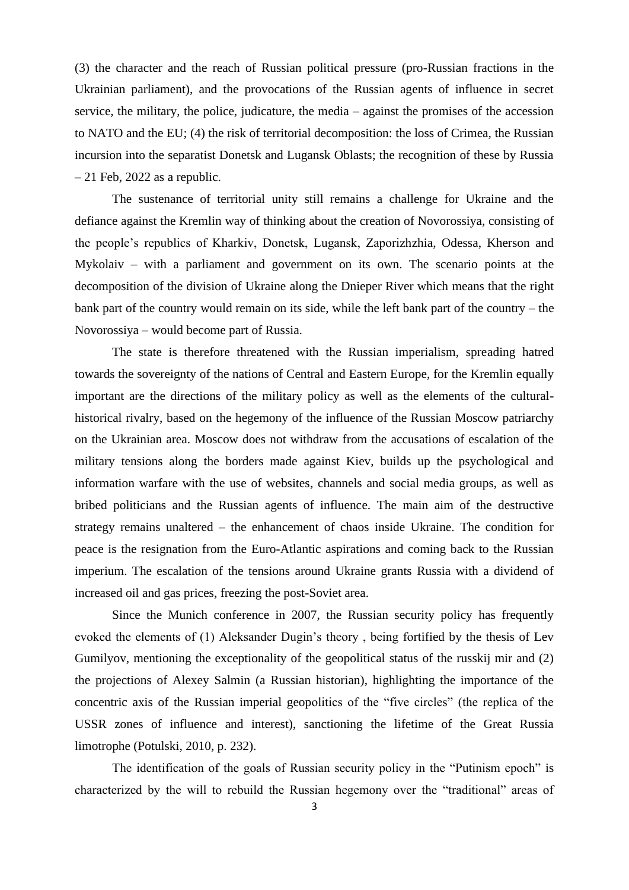(3) the character and the reach of Russian political pressure (pro-Russian fractions in the Ukrainian parliament), and the provocations of the Russian agents of influence in secret service, the military, the police, judicature, the media – against the promises of the accession to NATO and the EU; (4) the risk of territorial decomposition: the loss of Crimea, the Russian incursion into the separatist Donetsk and Lugansk Oblasts; the recognition of these by Russia  $-21$  Feb, 2022 as a republic.

 The sustenance of territorial unity still remains a challenge for Ukraine and the defiance against the Kremlin way of thinking about the creation of Novorossiya, consisting of the people's republics of Kharkiv, Donetsk, Lugansk, Zaporizhzhia, Odessa, Kherson and Mykolaiv – with a parliament and government on its own. The scenario points at the decomposition of the division of Ukraine along the Dnieper River which means that the right bank part of the country would remain on its side, while the left bank part of the country – the Novorossiya – would become part of Russia.

 The state is therefore threatened with the Russian imperialism, spreading hatred towards the sovereignty of the nations of Central and Eastern Europe, for the Kremlin equally important are the directions of the military policy as well as the elements of the culturalhistorical rivalry, based on the hegemony of the influence of the Russian Moscow patriarchy on the Ukrainian area. Moscow does not withdraw from the accusations of escalation of the military tensions along the borders made against Kiev, builds up the psychological and information warfare with the use of websites, channels and social media groups, as well as bribed politicians and the Russian agents of influence. The main aim of the destructive strategy remains unaltered – the enhancement of chaos inside Ukraine. The condition for peace is the resignation from the Euro-Atlantic aspirations and coming back to the Russian imperium. The escalation of the tensions around Ukraine grants Russia with a dividend of increased oil and gas prices, freezing the post-Soviet area.

 Since the Munich conference in 2007, the Russian security policy has frequently evoked the elements of (1) Aleksander Dugin's theory , being fortified by the thesis of Lev Gumilyov, mentioning the exceptionality of the geopolitical status of the russkij mir and (2) the projections of Alexey Salmin (a Russian historian), highlighting the importance of the concentric axis of the Russian imperial geopolitics of the "five circles" (the replica of the USSR zones of influence and interest), sanctioning the lifetime of the Great Russia limotrophe (Potulski, 2010, p. 232).

 The identification of the goals of Russian security policy in the "Putinism epoch" is characterized by the will to rebuild the Russian hegemony over the "traditional" areas of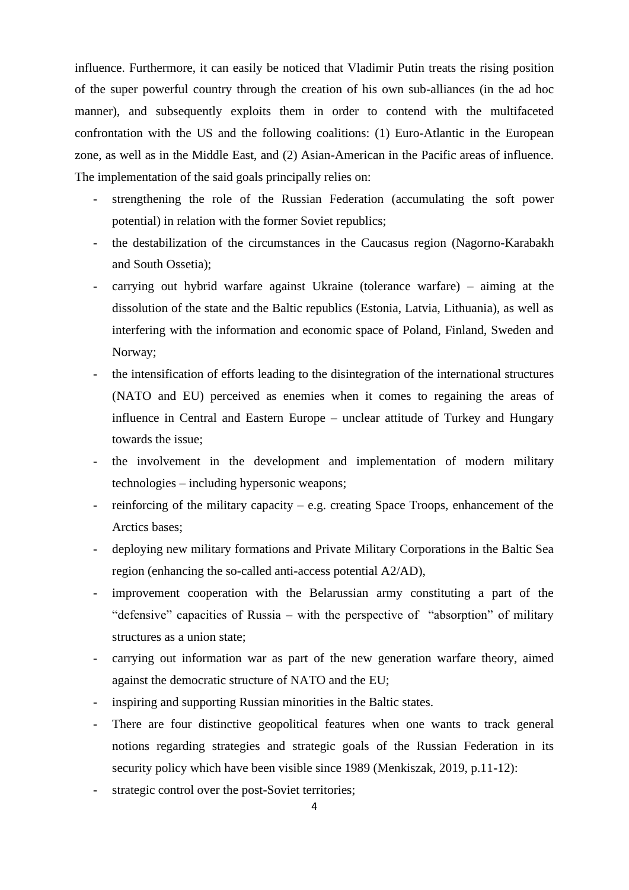influence. Furthermore, it can easily be noticed that Vladimir Putin treats the rising position of the super powerful country through the creation of his own sub-alliances (in the ad hoc manner), and subsequently exploits them in order to contend with the multifaceted confrontation with the US and the following coalitions: (1) Euro-Atlantic in the European zone, as well as in the Middle East, and (2) Asian-American in the Pacific areas of influence. The implementation of the said goals principally relies on:

- strengthening the role of the Russian Federation (accumulating the soft power potential) in relation with the former Soviet republics;
- the destabilization of the circumstances in the Caucasus region (Nagorno-Karabakh and South Ossetia);
- carrying out hybrid warfare against Ukraine (tolerance warfare) aiming at the dissolution of the state and the Baltic republics (Estonia, Latvia, Lithuania), as well as interfering with the information and economic space of Poland, Finland, Sweden and Norway;
- the intensification of efforts leading to the disintegration of the international structures (NATO and EU) perceived as enemies when it comes to regaining the areas of influence in Central and Eastern Europe – unclear attitude of Turkey and Hungary towards the issue;
- the involvement in the development and implementation of modern military technologies – including hypersonic weapons;
- reinforcing of the military capacity e.g. creating Space Troops, enhancement of the Arctics bases;
- deploying new military formations and Private Military Corporations in the Baltic Sea region (enhancing the so-called anti-access potential A2/AD),
- improvement cooperation with the Belarussian army constituting a part of the "defensive" capacities of Russia – with the perspective of "absorption" of military structures as a union state;
- carrying out information war as part of the new generation warfare theory, aimed against the democratic structure of NATO and the EU;
- inspiring and supporting Russian minorities in the Baltic states.
- There are four distinctive geopolitical features when one wants to track general notions regarding strategies and strategic goals of the Russian Federation in its security policy which have been visible since 1989 (Menkiszak, 2019, p.11-12):
- strategic control over the post-Soviet territories;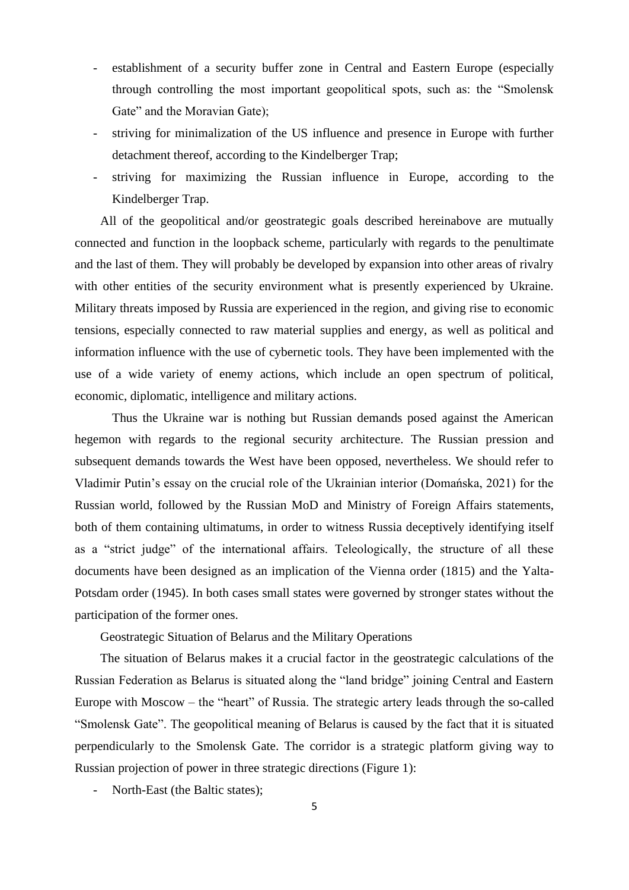- establishment of a security buffer zone in Central and Eastern Europe (especially through controlling the most important geopolitical spots, such as: the "Smolensk Gate" and the Moravian Gate);
- striving for minimalization of the US influence and presence in Europe with further detachment thereof, according to the Kindelberger Trap;
- striving for maximizing the Russian influence in Europe, according to the Kindelberger Trap.

All of the geopolitical and/or geostrategic goals described hereinabove are mutually connected and function in the loopback scheme, particularly with regards to the penultimate and the last of them. They will probably be developed by expansion into other areas of rivalry with other entities of the security environment what is presently experienced by Ukraine. Military threats imposed by Russia are experienced in the region, and giving rise to economic tensions, especially connected to raw material supplies and energy, as well as political and information influence with the use of cybernetic tools. They have been implemented with the use of a wide variety of enemy actions, which include an open spectrum of political, economic, diplomatic, intelligence and military actions.

 Thus the Ukraine war is nothing but Russian demands posed against the American hegemon with regards to the regional security architecture. The Russian pression and subsequent demands towards the West have been opposed, nevertheless. We should refer to Vladimir Putin's essay on the crucial role of the Ukrainian interior (Domańska, 2021) for the Russian world, followed by the Russian MoD and Ministry of Foreign Affairs statements, both of them containing ultimatums, in order to witness Russia deceptively identifying itself as a "strict judge" of the international affairs. Teleologically, the structure of all these documents have been designed as an implication of the Vienna order (1815) and the Yalta-Potsdam order (1945). In both cases small states were governed by stronger states without the participation of the former ones.

Geostrategic Situation of Belarus and the Military Operations

The situation of Belarus makes it a crucial factor in the geostrategic calculations of the Russian Federation as Belarus is situated along the "land bridge" joining Central and Eastern Europe with Moscow – the "heart" of Russia. The strategic artery leads through the so-called "Smolensk Gate". The geopolitical meaning of Belarus is caused by the fact that it is situated perpendicularly to the Smolensk Gate. The corridor is a strategic platform giving way to Russian projection of power in three strategic directions (Figure 1):

- North-East (the Baltic states);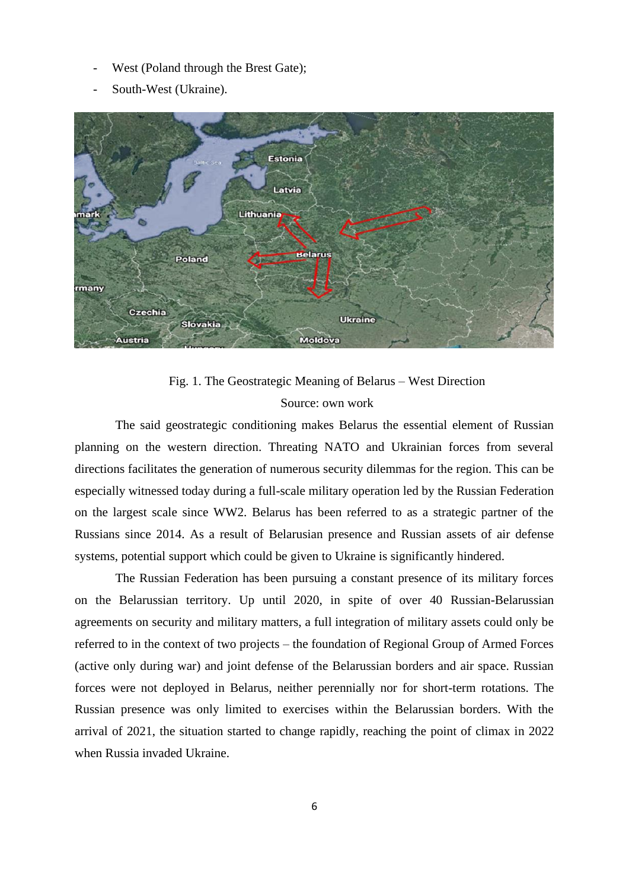- West (Poland through the Brest Gate);
- South-West (Ukraine).



# Fig. 1. The Geostrategic Meaning of Belarus – West Direction Source: own work

The said geostrategic conditioning makes Belarus the essential element of Russian planning on the western direction. Threating NATO and Ukrainian forces from several directions facilitates the generation of numerous security dilemmas for the region. This can be especially witnessed today during a full-scale military operation led by the Russian Federation on the largest scale since WW2. Belarus has been referred to as a strategic partner of the Russians since 2014. As a result of Belarusian presence and Russian assets of air defense systems, potential support which could be given to Ukraine is significantly hindered.

The Russian Federation has been pursuing a constant presence of its military forces on the Belarussian territory. Up until 2020, in spite of over 40 Russian-Belarussian agreements on security and military matters, a full integration of military assets could only be referred to in the context of two projects – the foundation of Regional Group of Armed Forces (active only during war) and joint defense of the Belarussian borders and air space. Russian forces were not deployed in Belarus, neither perennially nor for short-term rotations. The Russian presence was only limited to exercises within the Belarussian borders. With the arrival of 2021, the situation started to change rapidly, reaching the point of climax in 2022 when Russia invaded Ukraine.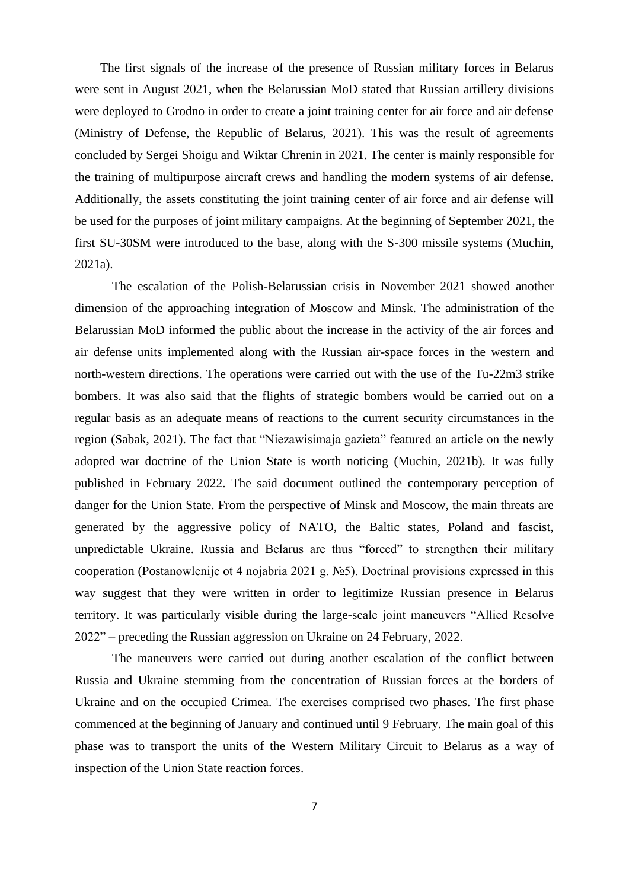The first signals of the increase of the presence of Russian military forces in Belarus were sent in August 2021, when the Belarussian MoD stated that Russian artillery divisions were deployed to Grodno in order to create a joint training center for air force and air defense (Ministry of Defense, the Republic of Belarus, 2021). This was the result of agreements concluded by Sergei Shoigu and Wiktar Chrenin in 2021. The center is mainly responsible for the training of multipurpose aircraft crews and handling the modern systems of air defense. Additionally, the assets constituting the joint training center of air force and air defense will be used for the purposes of joint military campaigns. At the beginning of September 2021, the first SU-30SM were introduced to the base, along with the S-300 missile systems (Muchin, 2021a).

The escalation of the Polish-Belarussian crisis in November 2021 showed another dimension of the approaching integration of Moscow and Minsk. The administration of the Belarussian MoD informed the public about the increase in the activity of the air forces and air defense units implemented along with the Russian air-space forces in the western and north-western directions. The operations were carried out with the use of the Tu-22m3 strike bombers. It was also said that the flights of strategic bombers would be carried out on a regular basis as an adequate means of reactions to the current security circumstances in the region (Sabak, 2021). The fact that "Niezawisimaja gazieta" featured an article on the newly adopted war doctrine of the Union State is worth noticing (Muchin, 2021b). It was fully published in February 2022. The said document outlined the contemporary perception of danger for the Union State. From the perspective of Minsk and Moscow, the main threats are generated by the aggressive policy of NATO, the Baltic states, Poland and fascist, unpredictable Ukraine. Russia and Belarus are thus "forced" to strengthen their military cooperation (Postanowlenije ot 4 nojabria 2021 g. №5). Doctrinal provisions expressed in this way suggest that they were written in order to legitimize Russian presence in Belarus territory. It was particularly visible during the large-scale joint maneuvers "Allied Resolve 2022" – preceding the Russian aggression on Ukraine on 24 February, 2022.

 The maneuvers were carried out during another escalation of the conflict between Russia and Ukraine stemming from the concentration of Russian forces at the borders of Ukraine and on the occupied Crimea. The exercises comprised two phases. The first phase commenced at the beginning of January and continued until 9 February. The main goal of this phase was to transport the units of the Western Military Circuit to Belarus as a way of inspection of the Union State reaction forces.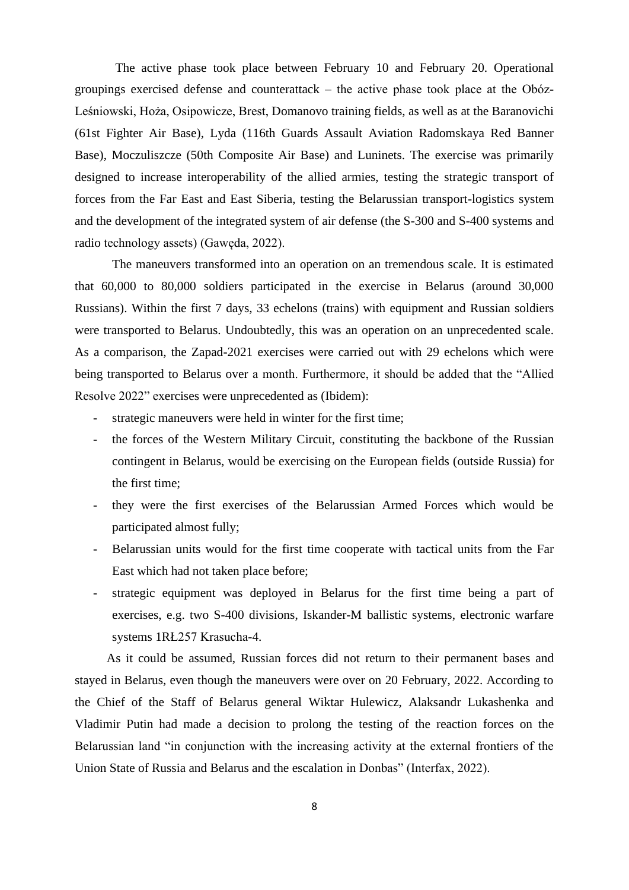The active phase took place between February 10 and February 20. Operational groupings exercised defense and counterattack – the active phase took place at the Obóz-Leśniowski, Hoża, Osipowicze, Brest, Domanovo training fields, as well as at the Baranovichi (61st Fighter Air Base), Lyda (116th Guards Assault Aviation Radomskaya Red Banner Base), Moczuliszcze (50th Composite Air Base) and Luninets. The exercise was primarily designed to increase interoperability of the allied armies, testing the strategic transport of forces from the Far East and East Siberia, testing the Belarussian transport-logistics system and the development of the integrated system of air defense (the S-300 and S-400 systems and radio technology assets) (Gawęda, 2022).

 The maneuvers transformed into an operation on an tremendous scale. It is estimated that 60,000 to 80,000 soldiers participated in the exercise in Belarus (around 30,000 Russians). Within the first 7 days, 33 echelons (trains) with equipment and Russian soldiers were transported to Belarus. Undoubtedly, this was an operation on an unprecedented scale. As a comparison, the Zapad-2021 exercises were carried out with 29 echelons which were being transported to Belarus over a month. Furthermore, it should be added that the "Allied Resolve 2022" exercises were unprecedented as (Ibidem):

- strategic maneuvers were held in winter for the first time;
- the forces of the Western Military Circuit, constituting the backbone of the Russian contingent in Belarus, would be exercising on the European fields (outside Russia) for the first time;
- they were the first exercises of the Belarussian Armed Forces which would be participated almost fully;
- Belarussian units would for the first time cooperate with tactical units from the Far East which had not taken place before;
- strategic equipment was deployed in Belarus for the first time being a part of exercises, e.g. two S-400 divisions, Iskander-M ballistic systems, electronic warfare systems 1RŁ257 Krasucha-4.

 As it could be assumed, Russian forces did not return to their permanent bases and stayed in Belarus, even though the maneuvers were over on 20 February, 2022. According to the Chief of the Staff of Belarus general Wiktar Hulewicz, Alaksandr Lukashenka and Vladimir Putin had made a decision to prolong the testing of the reaction forces on the Belarussian land "in conjunction with the increasing activity at the external frontiers of the Union State of Russia and Belarus and the escalation in Donbas" (Interfax, 2022).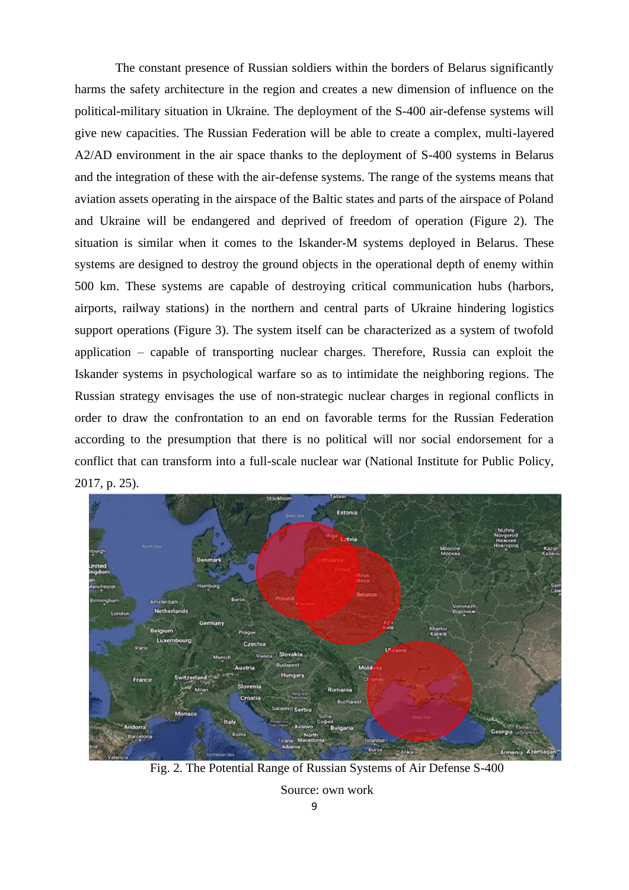The constant presence of Russian soldiers within the borders of Belarus significantly harms the safety architecture in the region and creates a new dimension of influence on the political-military situation in Ukraine. The deployment of the S-400 air-defense systems will give new capacities. The Russian Federation will be able to create a complex, multi-layered A2/AD environment in the air space thanks to the deployment of S-400 systems in Belarus and the integration of these with the air-defense systems. The range of the systems means that aviation assets operating in the airspace of the Baltic states and parts of the airspace of Poland and Ukraine will be endangered and deprived of freedom of operation (Figure 2). The situation is similar when it comes to the Iskander-M systems deployed in Belarus. These systems are designed to destroy the ground objects in the operational depth of enemy within 500 km. These systems are capable of destroying critical communication hubs (harbors, airports, railway stations) in the northern and central parts of Ukraine hindering logistics support operations (Figure 3). The system itself can be characterized as a system of twofold application – capable of transporting nuclear charges. Therefore, Russia can exploit the Iskander systems in psychological warfare so as to intimidate the neighboring regions. The Russian strategy envisages the use of non-strategic nuclear charges in regional conflicts in order to draw the confrontation to an end on favorable terms for the Russian Federation according to the presumption that there is no political will nor social endorsement for a conflict that can transform into a full-scale nuclear war (National Institute for Public Policy, 2017, p. 25).



Fig. 2. The Potential Range of Russian Systems of Air Defense S-400

Source: own work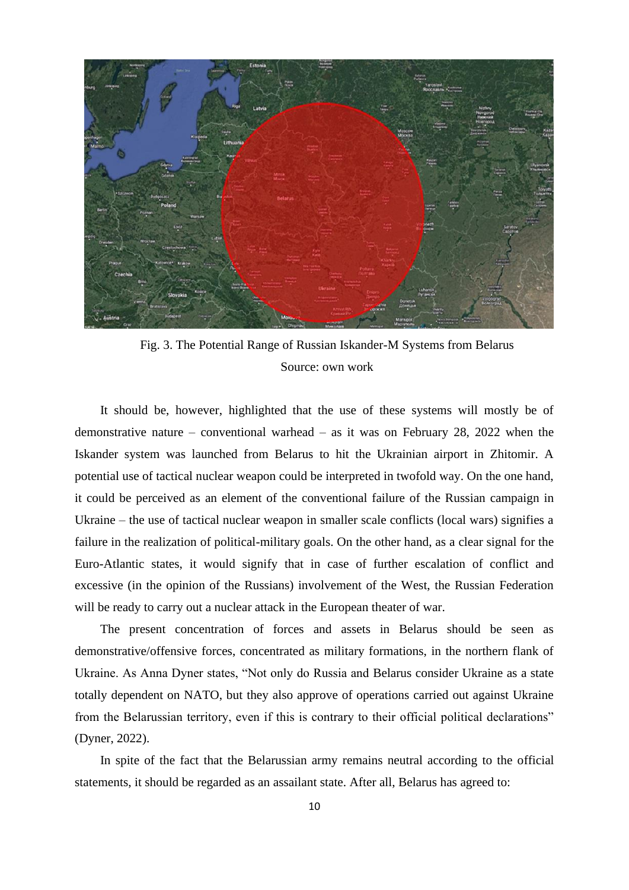

Fig. 3. The Potential Range of Russian Iskander-M Systems from Belarus Source: own work

It should be, however, highlighted that the use of these systems will mostly be of demonstrative nature – conventional warhead – as it was on February 28, 2022 when the Iskander system was launched from Belarus to hit the Ukrainian airport in Zhitomir. A potential use of tactical nuclear weapon could be interpreted in twofold way. On the one hand, it could be perceived as an element of the conventional failure of the Russian campaign in Ukraine – the use of tactical nuclear weapon in smaller scale conflicts (local wars) signifies a failure in the realization of political-military goals. On the other hand, as a clear signal for the Euro-Atlantic states, it would signify that in case of further escalation of conflict and excessive (in the opinion of the Russians) involvement of the West, the Russian Federation will be ready to carry out a nuclear attack in the European theater of war.

The present concentration of forces and assets in Belarus should be seen as demonstrative/offensive forces, concentrated as military formations, in the northern flank of Ukraine. As Anna Dyner states, "Not only do Russia and Belarus consider Ukraine as a state totally dependent on NATO, but they also approve of operations carried out against Ukraine from the Belarussian territory, even if this is contrary to their official political declarations" (Dyner, 2022).

In spite of the fact that the Belarussian army remains neutral according to the official statements, it should be regarded as an assailant state. After all, Belarus has agreed to: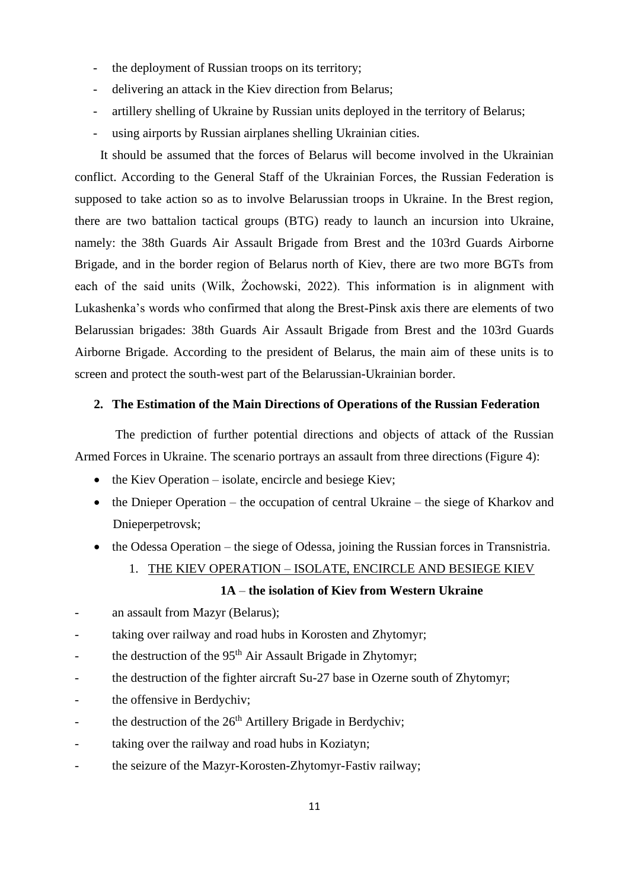- the deployment of Russian troops on its territory;
- delivering an attack in the Kiev direction from Belarus;
- artillery shelling of Ukraine by Russian units deployed in the territory of Belarus;
- using airports by Russian airplanes shelling Ukrainian cities.

It should be assumed that the forces of Belarus will become involved in the Ukrainian conflict. According to the General Staff of the Ukrainian Forces, the Russian Federation is supposed to take action so as to involve Belarussian troops in Ukraine. In the Brest region, there are two battalion tactical groups (BTG) ready to launch an incursion into Ukraine, namely: the 38th Guards Air Assault Brigade from Brest and the 103rd Guards Airborne Brigade, and in the border region of Belarus north of Kiev, there are two more BGTs from each of the said units (Wilk, Żochowski, 2022). This information is in alignment with Lukashenka's words who confirmed that along the Brest-Pinsk axis there are elements of two Belarussian brigades: 38th Guards Air Assault Brigade from Brest and the 103rd Guards Airborne Brigade. According to the president of Belarus, the main aim of these units is to screen and protect the south-west part of the Belarussian-Ukrainian border.

#### **2. The Estimation of the Main Directions of Operations of the Russian Federation**

The prediction of further potential directions and objects of attack of the Russian Armed Forces in Ukraine. The scenario portrays an assault from three directions (Figure 4):

- the Kiev Operation isolate, encircle and besiege Kiev;
- the Dnieper Operation the occupation of central Ukraine the siege of Kharkov and Dnieperpetrovsk;
- the Odessa Operation the siege of Odessa, joining the Russian forces in Transnistria.
	- 1. THE KIEV OPERATION ISOLATE, ENCIRCLE AND BESIEGE KIEV

#### **1A** – **the isolation of Kiev from Western Ukraine**

- an assault from Mazyr (Belarus);
- taking over railway and road hubs in Korosten and Zhytomyr;
- the destruction of the  $95<sup>th</sup>$  Air Assault Brigade in Zhytomyr;
- the destruction of the fighter aircraft Su-27 base in Ozerne south of Zhytomyr;
- the offensive in Berdychiv;
- the destruction of the  $26<sup>th</sup>$  Artillery Brigade in Berdychiv;
- taking over the railway and road hubs in Koziatyn;
- the seizure of the Mazyr-Korosten-Zhytomyr-Fastiv railway;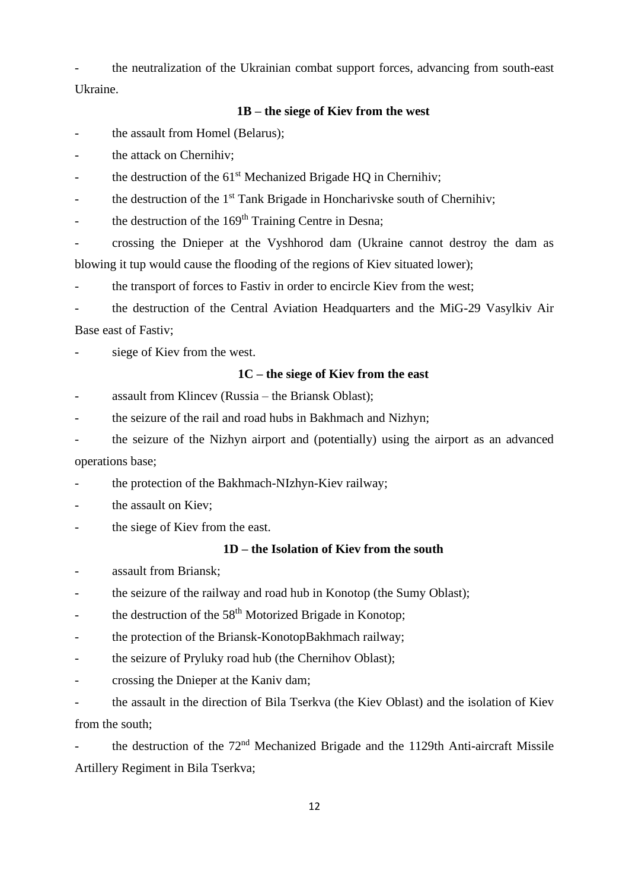the neutralization of the Ukrainian combat support forces, advancing from south-east Ukraine.

### **1B – the siege of Kiev from the west**

the assault from Homel (Belarus);

the attack on Chernihiv;

the destruction of the 61<sup>st</sup> Mechanized Brigade HQ in Chernihiv;

the destruction of the 1<sup>st</sup> Tank Brigade in Honcharivske south of Chernihiv;

the destruction of the 169<sup>th</sup> Training Centre in Desna;

- crossing the Dnieper at the Vyshhorod dam (Ukraine cannot destroy the dam as blowing it tup would cause the flooding of the regions of Kiev situated lower);

the transport of forces to Fastiv in order to encircle Kiev from the west;

- the destruction of the Central Aviation Headquarters and the MiG-29 Vasylkiv Air Base east of Fastiv;

siege of Kiev from the west.

#### **1C – the siege of Kiev from the east**

assault from Klincev (Russia – the Briansk Oblast);

the seizure of the rail and road hubs in Bakhmach and Nizhyn;

the seizure of the Nizhyn airport and (potentially) using the airport as an advanced operations base;

the protection of the Bakhmach-NIzhyn-Kiev railway;

- the assault on Kiev;

the siege of Kiev from the east.

#### **1D – the Isolation of Kiev from the south**

assault from Briansk;

the seizure of the railway and road hub in Konotop (the Sumy Oblast);

- the destruction of the 58<sup>th</sup> Motorized Brigade in Konotop;

- the protection of the Briansk-KonotopBakhmach railway;

- the seizure of Pryluky road hub (the Chernihov Oblast);

- crossing the Dnieper at the Kaniv dam;

- the assault in the direction of Bila Tserkva (the Kiev Oblast) and the isolation of Kiev from the south;

the destruction of the 72<sup>nd</sup> Mechanized Brigade and the 1129th Anti-aircraft Missile Artillery Regiment in Bila Tserkva;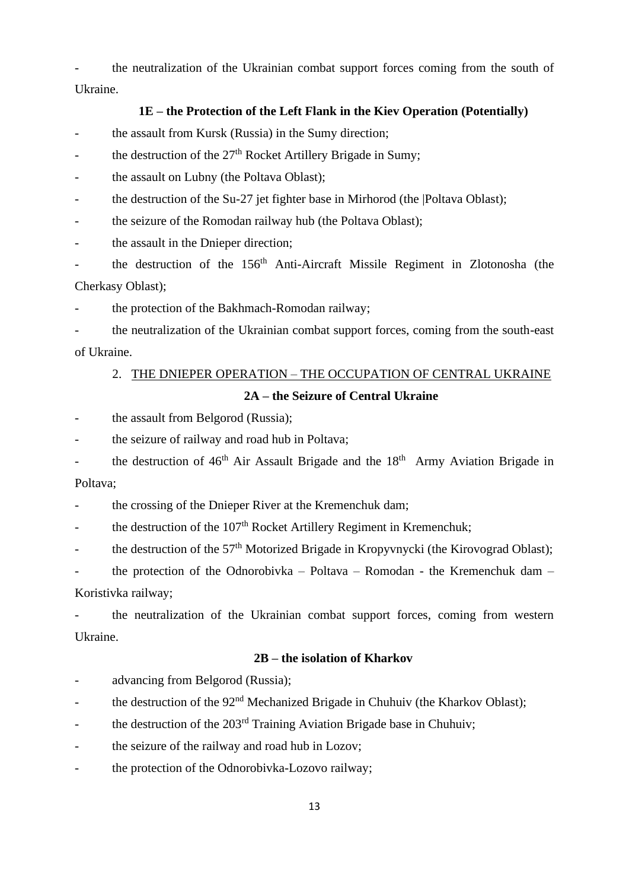- the neutralization of the Ukrainian combat support forces coming from the south of Ukraine.

#### **1E – the Protection of the Left Flank in the Kiev Operation (Potentially)**

- the assault from Kursk (Russia) in the Sumy direction;

- the destruction of the  $27<sup>th</sup>$  Rocket Artillery Brigade in Sumy;

the assault on Lubny (the Poltava Oblast);

the destruction of the Su-27 jet fighter base in Mirhorod (the |Poltava Oblast);

- the seizure of the Romodan railway hub (the Poltava Oblast);

the assault in the Dnieper direction;

the destruction of the 156<sup>th</sup> Anti-Aircraft Missile Regiment in Zlotonosha (the Cherkasy Oblast);

the protection of the Bakhmach-Romodan railway;

- the neutralization of the Ukrainian combat support forces, coming from the south-east of Ukraine.

### 2. THE DNIEPER OPERATION – THE OCCUPATION OF CENTRAL UKRAINE

#### **2A – the Seizure of Central Ukraine**

the assault from Belgorod (Russia);

the seizure of railway and road hub in Poltava;

the destruction of  $46<sup>th</sup>$  Air Assault Brigade and the  $18<sup>th</sup>$  Army Aviation Brigade in Poltava;

- the crossing of the Dnieper River at the Kremenchuk dam;

- the destruction of the  $107<sup>th</sup>$  Rocket Artillery Regiment in Kremenchuk;

- the destruction of the  $57<sup>th</sup>$  Motorized Brigade in Kropyvnycki (the Kirovograd Oblast);

- the protection of the Odnorobivka – Poltava – Romodan - the Kremenchuk dam – Koristivka railway;

the neutralization of the Ukrainian combat support forces, coming from western Ukraine.

### **2B – the isolation of Kharkov**

- advancing from Belgorod (Russia);

- the destruction of the 92<sup>nd</sup> Mechanized Brigade in Chuhuiv (the Kharkov Oblast);

- the destruction of the 203<sup>rd</sup> Training Aviation Brigade base in Chuhuiv;

- the seizure of the railway and road hub in Lozov;

- the protection of the Odnorobivka-Lozovo railway;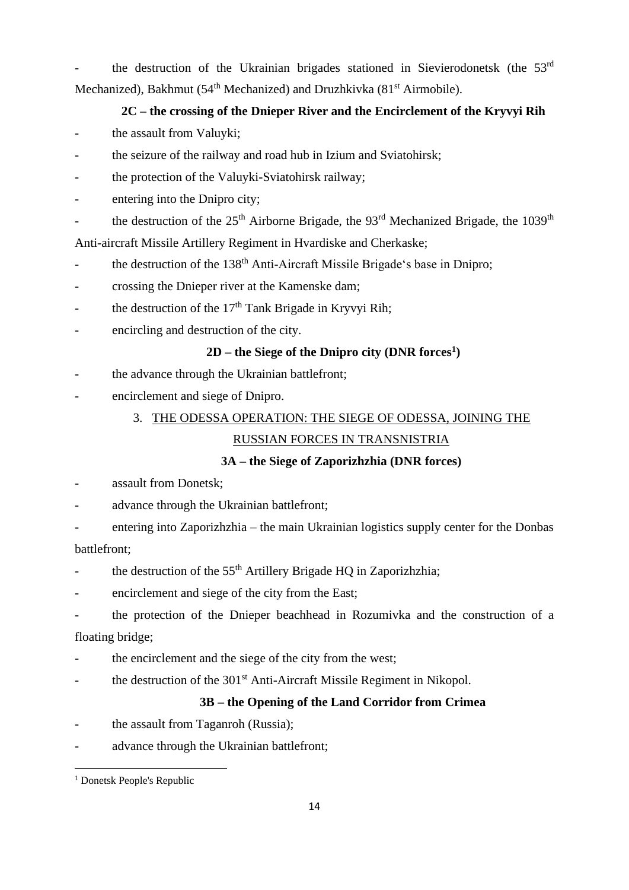the destruction of the Ukrainian brigades stationed in Sievierodonetsk (the 53<sup>rd</sup>) Mechanized), Bakhmut (54<sup>th</sup> Mechanized) and Druzhkivka (81<sup>st</sup> Airmobile).

# **2C – the crossing of the Dnieper River and the Encirclement of the Kryvyi Rih**

- the assault from Valuyki;
- the seizure of the railway and road hub in Izium and Sviatohirsk;
- the protection of the Valuyki-Sviatohirsk railway;
- entering into the Dnipro city;
- the destruction of the  $25<sup>th</sup>$  Airborne Brigade, the 93<sup>rd</sup> Mechanized Brigade, the 1039<sup>th</sup>

Anti-aircraft Missile Artillery Regiment in Hvardiske and Cherkaske;

- the destruction of the 138<sup>th</sup> Anti-Aircraft Missile Brigade's base in Dnipro;
- crossing the Dnieper river at the Kamenske dam;
- the destruction of the  $17<sup>th</sup>$  Tank Brigade in Kryvyi Rih;
- encircling and destruction of the city.

# **2D – the Siege of the Dnipro city (DNR forces<sup>1</sup> )**

- the advance through the Ukrainian battlefront;
- encirclement and siege of Dnipro.

# 3. THE ODESSA OPERATION: THE SIEGE OF ODESSA, JOINING THE

# RUSSIAN FORCES IN TRANSNISTRIA

# **3A – the Siege of Zaporizhzhia (DNR forces)**

- assault from Donetsk:
- advance through the Ukrainian battlefront;
- entering into Zaporizhzhia the main Ukrainian logistics supply center for the Donbas

## battlefront;

- the destruction of the  $55<sup>th</sup>$  Artillery Brigade HQ in Zaporizhzhia;
- encirclement and siege of the city from the East;
- the protection of the Dnieper beachhead in Rozumivka and the construction of a floating bridge;
- the encirclement and the siege of the city from the west;
- the destruction of the 301<sup>st</sup> Anti-Aircraft Missile Regiment in Nikopol.

# **3B – the Opening of the Land Corridor from Crimea**

- the assault from Taganroh (Russia);
- advance through the Ukrainian battlefront;

<sup>1</sup> Donetsk People's Republic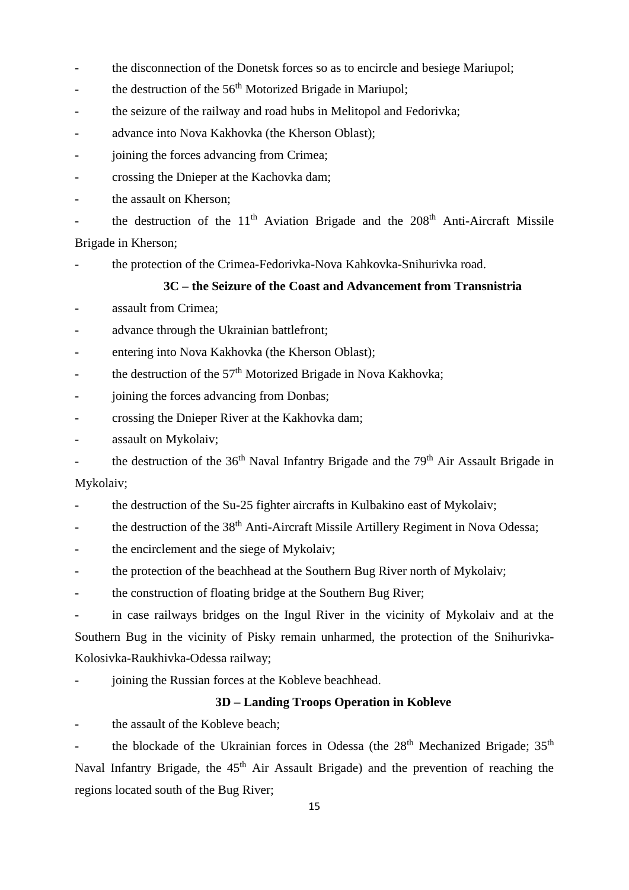- the disconnection of the Donetsk forces so as to encircle and besiege Mariupol;
- the destruction of the 56<sup>th</sup> Motorized Brigade in Mariupol;
- the seizure of the railway and road hubs in Melitopol and Fedorivka;
- advance into Nova Kakhovka (the Kherson Oblast);
- joining the forces advancing from Crimea;
- crossing the Dnieper at the Kachovka dam;
- the assault on Kherson:

- the destruction of the 11<sup>th</sup> Aviation Brigade and the 208<sup>th</sup> Anti-Aircraft Missile Brigade in Kherson;

- the protection of the Crimea-Fedorivka-Nova Kahkovka-Snihurivka road.

### **3C – the Seizure of the Coast and Advancement from Transnistria**

- assault from Crimea:
- advance through the Ukrainian battlefront;
- entering into Nova Kakhovka (the Kherson Oblast);
- the destruction of the  $57<sup>th</sup>$  Motorized Brigade in Nova Kakhovka;
- joining the forces advancing from Donbas;
- crossing the Dnieper River at the Kakhovka dam;
- assault on Mykolaiv;
- the destruction of the  $36<sup>th</sup>$  Naval Infantry Brigade and the  $79<sup>th</sup>$  Air Assault Brigade in

### Mykolaiv;

- the destruction of the Su-25 fighter aircrafts in Kulbakino east of Mykolaiv;
- <sup>-</sup> the destruction of the 38<sup>th</sup> Anti-Aircraft Missile Artillery Regiment in Nova Odessa;
- the encirclement and the siege of Mykolaiv;
- the protection of the beachhead at the Southern Bug River north of Mykolaiv;
- the construction of floating bridge at the Southern Bug River;

in case railways bridges on the Ingul River in the vicinity of Mykolaiv and at the Southern Bug in the vicinity of Pisky remain unharmed, the protection of the Snihurivka-Kolosivka-Raukhivka-Odessa railway;

joining the Russian forces at the Kobleve beachhead.

### **3D – Landing Troops Operation in Kobleve**

the assault of the Kobleve beach;

the blockade of the Ukrainian forces in Odessa (the 28<sup>th</sup> Mechanized Brigade; 35<sup>th</sup> Naval Infantry Brigade, the 45<sup>th</sup> Air Assault Brigade) and the prevention of reaching the regions located south of the Bug River;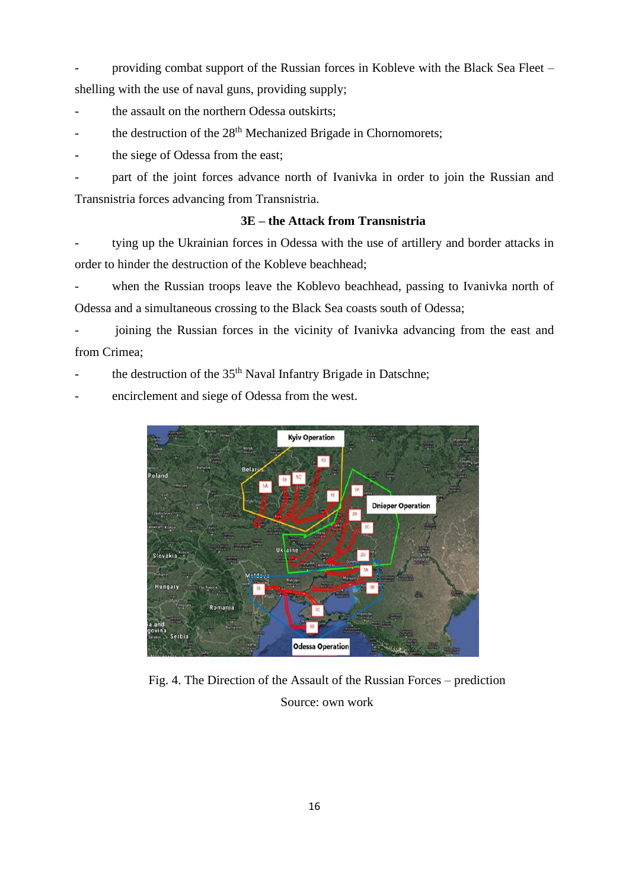- providing combat support of the Russian forces in Kobleve with the Black Sea Fleet – shelling with the use of naval guns, providing supply;

- the assault on the northern Odessa outskirts;
- the destruction of the 28<sup>th</sup> Mechanized Brigade in Chornomorets;
- the siege of Odessa from the east;

part of the joint forces advance north of Ivanivka in order to join the Russian and Transnistria forces advancing from Transnistria.

### **3E – the Attack from Transnistria**

tying up the Ukrainian forces in Odessa with the use of artillery and border attacks in order to hinder the destruction of the Kobleve beachhead;

when the Russian troops leave the Koblevo beachhead, passing to Ivanivka north of Odessa and a simultaneous crossing to the Black Sea coasts south of Odessa;

joining the Russian forces in the vicinity of Ivanivka advancing from the east and from Crimea;

the destruction of the 35<sup>th</sup> Naval Infantry Brigade in Datschne;

encirclement and siege of Odessa from the west.



Fig. 4. The Direction of the Assault of the Russian Forces – prediction Source: own work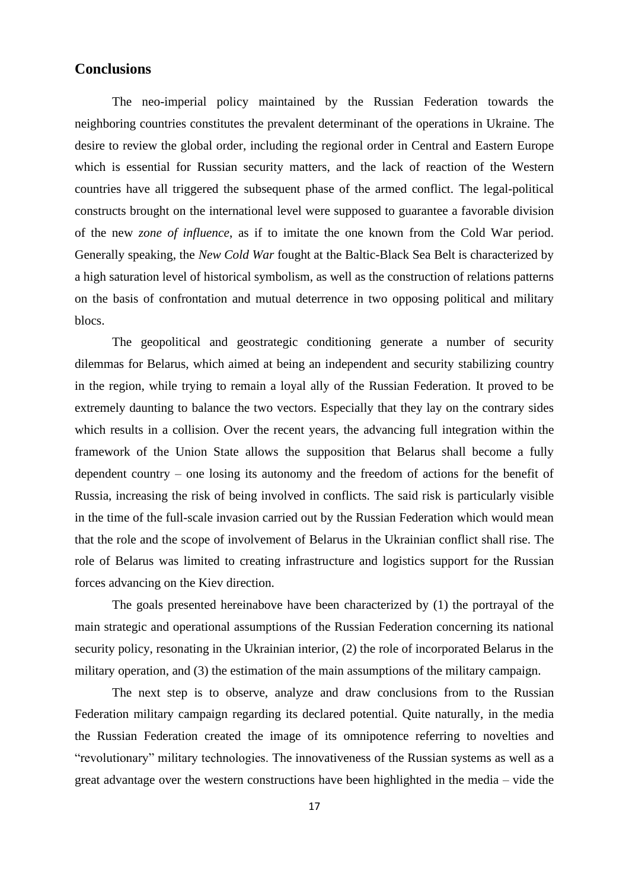### **Conclusions**

The neo-imperial policy maintained by the Russian Federation towards the neighboring countries constitutes the prevalent determinant of the operations in Ukraine. The desire to review the global order, including the regional order in Central and Eastern Europe which is essential for Russian security matters, and the lack of reaction of the Western countries have all triggered the subsequent phase of the armed conflict. The legal-political constructs brought on the international level were supposed to guarantee a favorable division of the new *zone of influence*, as if to imitate the one known from the Cold War period. Generally speaking, the *New Cold War* fought at the Baltic-Black Sea Belt is characterized by a high saturation level of historical symbolism, as well as the construction of relations patterns on the basis of confrontation and mutual deterrence in two opposing political and military blocs.

The geopolitical and geostrategic conditioning generate a number of security dilemmas for Belarus, which aimed at being an independent and security stabilizing country in the region, while trying to remain a loyal ally of the Russian Federation. It proved to be extremely daunting to balance the two vectors. Especially that they lay on the contrary sides which results in a collision. Over the recent years, the advancing full integration within the framework of the Union State allows the supposition that Belarus shall become a fully dependent country – one losing its autonomy and the freedom of actions for the benefit of Russia, increasing the risk of being involved in conflicts. The said risk is particularly visible in the time of the full-scale invasion carried out by the Russian Federation which would mean that the role and the scope of involvement of Belarus in the Ukrainian conflict shall rise. The role of Belarus was limited to creating infrastructure and logistics support for the Russian forces advancing on the Kiev direction.

The goals presented hereinabove have been characterized by (1) the portrayal of the main strategic and operational assumptions of the Russian Federation concerning its national security policy, resonating in the Ukrainian interior, (2) the role of incorporated Belarus in the military operation, and (3) the estimation of the main assumptions of the military campaign.

The next step is to observe, analyze and draw conclusions from to the Russian Federation military campaign regarding its declared potential. Quite naturally, in the media the Russian Federation created the image of its omnipotence referring to novelties and "revolutionary" military technologies. The innovativeness of the Russian systems as well as a great advantage over the western constructions have been highlighted in the media – vide the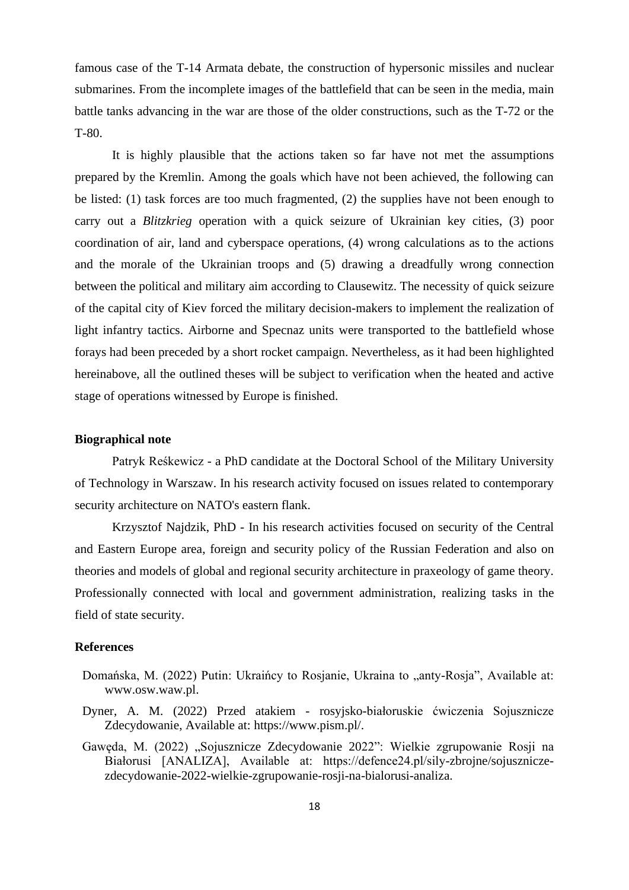famous case of the T-14 Armata debate, the construction of hypersonic missiles and nuclear submarines. From the incomplete images of the battlefield that can be seen in the media, main battle tanks advancing in the war are those of the older constructions, such as the T-72 or the T-80.

It is highly plausible that the actions taken so far have not met the assumptions prepared by the Kremlin. Among the goals which have not been achieved, the following can be listed: (1) task forces are too much fragmented, (2) the supplies have not been enough to carry out a *Blitzkrieg* operation with a quick seizure of Ukrainian key cities, (3) poor coordination of air, land and cyberspace operations, (4) wrong calculations as to the actions and the morale of the Ukrainian troops and (5) drawing a dreadfully wrong connection between the political and military aim according to Clausewitz. The necessity of quick seizure of the capital city of Kiev forced the military decision-makers to implement the realization of light infantry tactics. Airborne and Specnaz units were transported to the battlefield whose forays had been preceded by a short rocket campaign. Nevertheless, as it had been highlighted hereinabove, all the outlined theses will be subject to verification when the heated and active stage of operations witnessed by Europe is finished.

#### **Biographical note**

Patryk Reśkewicz - a PhD candidate at the Doctoral School of the Military University of Technology in Warszaw. In his research activity focused on issues related to contemporary security architecture on NATO's eastern flank.

Krzysztof Najdzik, PhD - In his research activities focused on security of the Central and Eastern Europe area, foreign and security policy of the Russian Federation and also on theories and models of global and regional security architecture in praxeology of game theory. Professionally connected with local and government administration, realizing tasks in the field of state security.

#### **References**

- Domańska, M. (2022) Putin: Ukraińcy to Rosjanie, Ukraina to "anty-Rosja", Available at: www.osw.waw.pl.
- Dyner, A. M. (2022) Przed atakiem rosyjsko-białoruskie ćwiczenia Sojusznicze Zdecydowanie, Available at: https://www.pism.pl/.
- Gawęda, M. (2022) "Sojusznicze Zdecydowanie 2022": Wielkie zgrupowanie Rosji na Białorusi [ANALIZA], Available at: https://defence24.pl/sily-zbrojne/sojuszniczezdecydowanie-2022-wielkie-zgrupowanie-rosji-na-bialorusi-analiza.